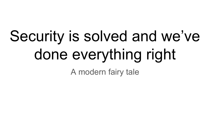# Security is solved and we've done everything right

A modern fairy tale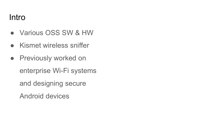#### Intro

- Various OSS SW & HW
- Kismet wireless sniffer
- Previously worked on

enterprise Wi-Fi systems

and designing secure

Android devices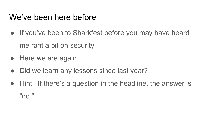#### We've been here before

- If you've been to Sharkfest before you may have heard me rant a bit on security
- Here we are again
- Did we learn any lessons since last year?
- Hint: If there's a question in the headline, the answer is "no."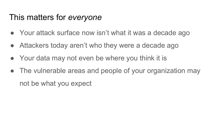### This matters for *everyone*

- Your attack surface now isn't what it was a decade ago
- Attackers today aren't who they were a decade ago
- Your data may not even be where you think it is
- The vulnerable areas and people of your organization may not be what you expect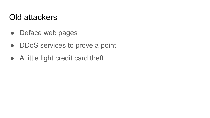#### Old attackers

- Deface web pages
- **DDoS** services to prove a point
- A little light credit card theft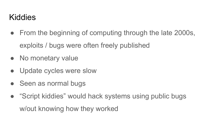## Kiddies

- From the beginning of computing through the late 2000s, exploits / bugs were often freely published
- No monetary value
- Update cycles were slow
- Seen as normal bugs
- "Script kiddies" would hack systems using public bugs w/out knowing how they worked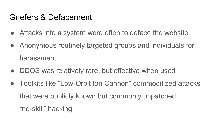## Griefers & Defacement

- Attacks into a system were often to deface the website
- Anonymous routinely targeted groups and individuals for harassment
- DDOS was relatively rare, but effective when used
- Toolkits like "Low-Orbit Ion Cannon" commoditized attacks that were publicly known but commonly unpatched,

"no-skill" hacking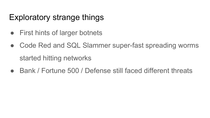## Exploratory strange things

- First hints of larger botnets
- Code Red and SQL Slammer super-fast spreading worms started hitting networks
- Bank / Fortune 500 / Defense still faced different threats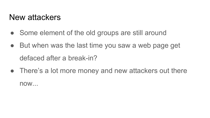#### New attackers

- Some element of the old groups are still around
- But when was the last time you saw a web page get defaced after a break-in?
- There's a lot more money and new attackers out there now...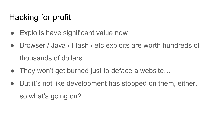# Hacking for profit

- Exploits have significant value now
- Browser / Java / Flash / etc exploits are worth hundreds of thousands of dollars
- They won't get burned just to deface a website...
- But it's not like development has stopped on them, either, so what's going on?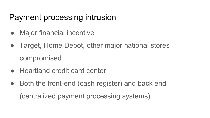## Payment processing intrusion

- Major financial incentive
- Target, Home Depot, other major national stores compromised
- Heartland credit card center
- Both the front-end (cash register) and back end (centralized payment processing systems)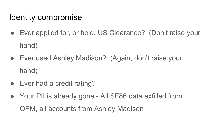## Identity compromise

- Ever applied for, or held, US Clearance? (Don't raise your hand)
- Ever used Ashley Madison? (Again, don't raise your hand)
- Ever had a credit rating?
- Your PII is already gone All SF86 data exfilled from OPM, all accounts from Ashley Madison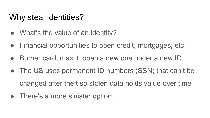## Why steal identities?

- What's the value of an identity?
- Financial opportunities to open credit, mortgages, etc
- Burner card, max it, open a new one under a new ID
- The US uses permanent ID numbers (SSN) that can't be changed after theft so stolen data holds value over time
- There's a more sinister option...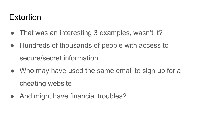## **Extortion**

- That was an interesting 3 examples, wasn't it?
- Hundreds of thousands of people with access to secure/secret information
- Who may have used the same email to sign up for a cheating website
- And might have financial troubles?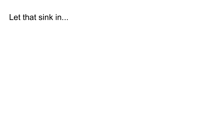#### Let that sink in...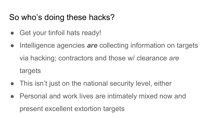## So who's doing these hacks?

- Get your tinfoil hats ready!
- Intelligence agencies *are* collecting information on targets via hacking; contractors and those w/ clearance *are* targets
- This isn't just on the national security level, either
- Personal and work lives are intimately mixed now and present excellent extortion targets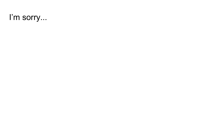# I'm sorry...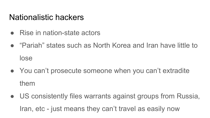#### Nationalistic hackers

- Rise in nation-state actors
- "Pariah" states such as North Korea and Iran have little to lose
- You can't prosecute someone when you can't extradite them
- US consistently files warrants against groups from Russia, Iran, etc - just means they can't travel as easily now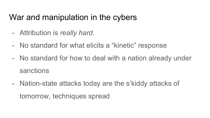### War and manipulation in the cybers

- Attribution is *really hard*.
- No standard for what elicits a "kinetic" response
- No standard for how to deal with a nation already under sanctions
- Nation-state attacks today are the s'kiddy attacks of tomorrow, techniques spread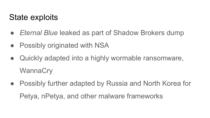## State exploits

- *Eternal Blue* leaked as part of Shadow Brokers dump
- Possibly originated with NSA
- Quickly adapted into a highly wormable ransomware, **WannaCry**
- Possibly further adapted by Russia and North Korea for Petya, nPetya, and other malware frameworks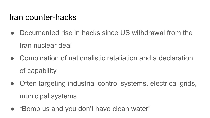#### Iran counter-hacks

- Documented rise in hacks since US withdrawal from the Iran nuclear deal
- Combination of nationalistic retaliation and a declaration of capability
- Often targeting industrial control systems, electrical grids, municipal systems
- "Bomb us and you don't have clean water"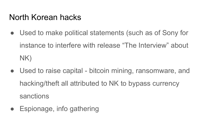## North Korean hacks

- Used to make political statements (such as of Sony for instance to interfere with release "The Interview" about NK)
- Used to raise capital bitcoin mining, ransomware, and hacking/theft all attributed to NK to bypass currency sanctions
- Espionage, info gathering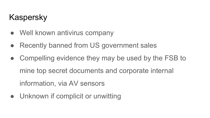# Kaspersky

- Well known antivirus company
- Recently banned from US government sales
- Compelling evidence they may be used by the FSB to mine top secret documents and corporate internal information, via AV sensors
- Unknown if complicit or unwitting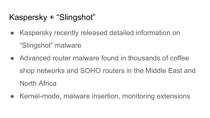## Kaspersky + "Slingshot"

- Kaspersky recently released detailed information on "Slingshot" malware
- Advanced router malware found in thousands of coffee shop networks and SOHO routers in the Middle East and North Africa
- Kernel-mode, malware insertion, monitoring extensions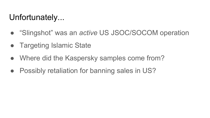## Unfortunately...

- "Slingshot" was an *active* US JSOC/SOCOM operation
- Targeting Islamic State
- Where did the Kaspersky samples come from?
- Possibly retaliation for banning sales in US?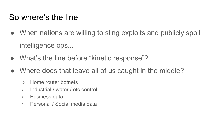## So where's the line

- When nations are willing to sling exploits and publicly spoil intelligence ops...
- What's the line before "kinetic response"?
- Where does that leave all of us caught in the middle?
	- Home router botnets
	- Industrial / water / etc control
	- Business data
	- Personal / Social media data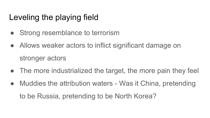## Leveling the playing field

- Strong resemblance to terrorism
- Allows weaker actors to inflict significant damage on stronger actors
- The more industrialized the target, the more pain they feel
- Muddies the attribution waters Was it China, pretending to be Russia, pretending to be North Korea?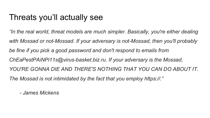## Threats you'll actually see

*"In the real world, threat models are much simpler. Basically, you're either dealing with Mossad or not-Mossad. If your adversary is not-Mossad, then you'll probably be fine if you pick a good password and don't respond to emails from ChEaPestPAiNPi11s@virus-basket.biz.ru. If your adversary is the Mossad, YOU'RE GONNA DIE AND THERE'S NOTHING THAT YOU CAN DO ABOUT IT. The Mossad is not intimidated by the fact that you employ https://."*

*- James Mickens*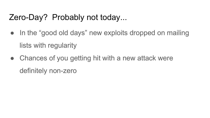## Zero-Day? Probably not today...

- In the "good old days" new exploits dropped on mailing lists with regularity
- Chances of you getting hit with a new attack were definitely non-zero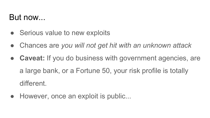#### But now...

- Serious value to new exploits
- Chances are *you will not get hit with an unknown attack*
- **Caveat:** If you do business with government agencies, are a large bank, or a Fortune 50, your risk profile is totally different.
- However, once an exploit is public...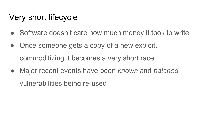## Very short lifecycle

- Software doesn't care how much money it took to write
- Once someone gets a copy of a new exploit, commoditizing it becomes a very short race
- Major recent events have been *known* and *patched* vulnerabilities being re-used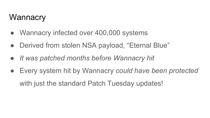## **Wannacry**

- Wannacry infected over 400,000 systems
- Derived from stolen NSA payload, "Eternal Blue"
- *● It was patched months before Wannacry hit*
- Every system hit by Wannacry *could have been protected* with just the standard Patch Tuesday updates!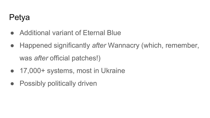## Petya

- Additional variant of Eternal Blue
- Happened significantly *after* Wannacry (which, remember, was *after* official patches!)
- 17,000+ systems, most in Ukraine
- Possibly politically driven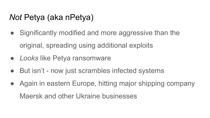## *Not* Petya (aka nPetya)

- Significantly modified and more aggressive than the original, spreading using additional exploits
- *● Looks* like Petya ransomware
- But isn't now just scrambles infected systems
- Again in eastern Europe, hitting major shipping company Maersk and other Ukraine businesses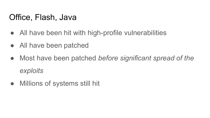#### Office, Flash, Java

- All have been hit with high-profile vulnerabilities
- All have been patched
- Most have been patched *before significant spread of the exploits*
- Millions of systems still hit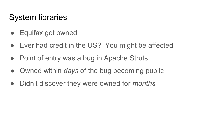# System libraries

- Equifax got owned
- Ever had credit in the US? You might be affected
- Point of entry was a bug in Apache Struts
- Owned within *days* of the bug becoming public
- Didn't discover they were owned for *months*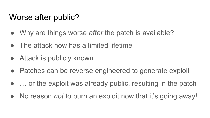# Worse after public?

- Why are things worse *after* the patch is available?
- The attack now has a limited lifetime
- Attack is publicly known
- Patches can be reverse engineered to generate exploit
- ... or the exploit was already public, resulting in the patch
- No reason *not* to burn an exploit now that it's going away!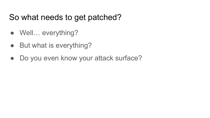# So what needs to get patched?

- Well... everything?
- But what is everything?
- Do you even know your attack surface?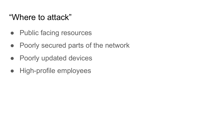### "Where to attack"

- Public facing resources
- Poorly secured parts of the network
- Poorly updated devices
- High-profile employees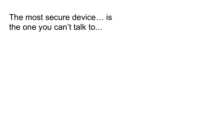The most secure device… is the one you can't talk to...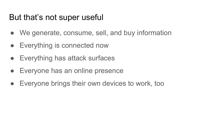## But that's not super useful

- We generate, consume, sell, and buy information
- Everything is connected now
- Everything has attack surfaces
- Everyone has an online presence
- Everyone brings their own devices to work, too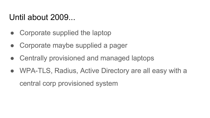## Until about 2009...

- Corporate supplied the laptop
- Corporate maybe supplied a pager
- Centrally provisioned and managed laptops
- WPA-TLS, Radius, Active Directory are all easy with a central corp provisioned system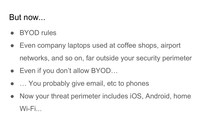# But now...

- BYOD rules
- Even company laptops used at coffee shops, airport networks, and so on, far outside your security perimeter
- Even if you don't allow BYOD...
- ... You probably give email, etc to phones
- Now your threat perimeter includes iOS, Android, home Wi-Fi...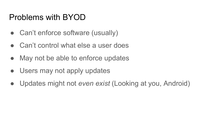## Problems with BYOD

- Can't enforce software (usually)
- Can't control what else a user does
- May not be able to enforce updates
- Users may not apply updates
- Updates might not *even exist* (Looking at you, Android)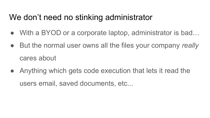## We don't need no stinking administrator

- With a BYOD or a corporate laptop, administrator is bad...
- But the normal user owns all the files your company *really* cares about
- Anything which gets code execution that lets it read the users email, saved documents, etc...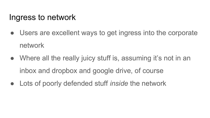#### Ingress to network

- Users are excellent ways to get ingress into the corporate network
- Where all the really juicy stuff is, assuming it's not in an inbox and dropbox and google drive, of course
- Lots of poorly defended stuff *inside* the network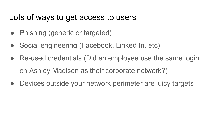### Lots of ways to get access to users

- Phishing (generic or targeted)
- Social engineering (Facebook, Linked In, etc)
- Re-used credentials (Did an employee use the same login on Ashley Madison as their corporate network?)
- Devices outside your network perimeter are juicy targets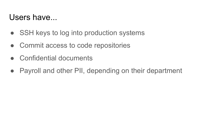#### Users have...

- SSH keys to log into production systems
- Commit access to code repositories
- Confidential documents
- Payroll and other PII, depending on their department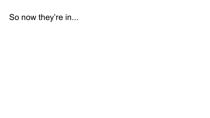## So now they're in...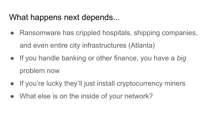### What happens next depends...

- Ransomware has crippled hospitals, shipping companies, and even entire city infrastructures (Atlanta)
- If you handle banking or other finance, you have a *big* problem now
- If you're lucky they'll just install cryptocurrency miners
- What else is on the inside of your network?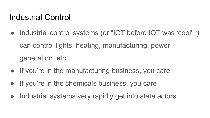### Industrial Control

- Industrial control systems (or "IOT before IOT was 'cool' ") can control lights, heating, manufacturing, power generation, etc
- If you're in the manufacturing business, you care
- If you're in the chemicals business, you care
- Industrial systems very rapidly get into state actors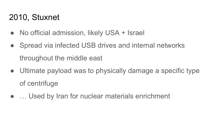# 2010, Stuxnet

- No official admission, likely USA + Israel
- Spread via infected USB drives and internal networks throughout the middle east
- Ultimate payload was to physically damage a specific type of centrifuge
- ... Used by Iran for nuclear materials enrichment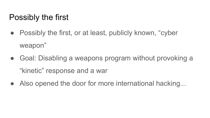# Possibly the first

- Possibly the first, or at least, publicly known, "cyber" weapon"
- Goal: Disabling a weapons program without provoking a "kinetic" response and a war
- Also opened the door for more international hacking...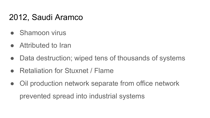## 2012, Saudi Aramco

- Shamoon virus
- Attributed to Iran
- Data destruction; wiped tens of thousands of systems
- **Retaliation for Stuxnet / Flame**
- Oil production network separate from office network prevented spread into industrial systems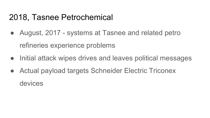### 2018, Tasnee Petrochemical

- August, 2017 systems at Tasnee and related petro refineries experience problems
- Initial attack wipes drives and leaves political messages
- Actual payload targets Schneider Electric Triconex devices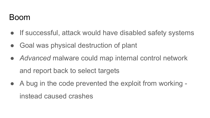### Boom

- If successful, attack would have disabled safety systems
- Goal was physical destruction of plant
- *● Advanced* malware could map internal control network and report back to select targets
- A bug in the code prevented the exploit from working instead caused crashes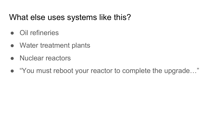## What else uses systems like this?

- Oil refineries
- Water treatment plants
- Nuclear reactors
- "You must reboot your reactor to complete the upgrade..."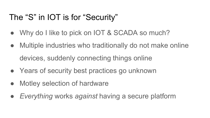# The "S" in IOT is for "Security"

- Why do I like to pick on IOT & SCADA so much?
- Multiple industries who traditionally do not make online devices, suddenly connecting things online
- Years of security best practices go unknown
- Motley selection of hardware
- *● Everything* works *against* having a secure platform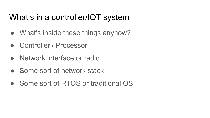# What's in a controller/IOT system

- What's inside these things anyhow?
- Controller / Processor
- Network interface or radio
- Some sort of network stack
- Some sort of RTOS or traditional OS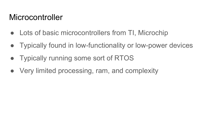## Microcontroller

- Lots of basic microcontrollers from TI, Microchip
- Typically found in low-functionality or low-power devices
- Typically running some sort of RTOS
- Very limited processing, ram, and complexity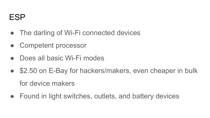#### ESP

- The darling of Wi-Fi connected devices
- Competent processor
- Does all basic Wi-Fi modes
- \$2.50 on E-Bay for hackers/makers, even cheaper in bulk for device makers
- Found in light switches, outlets, and battery devices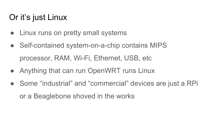# Or it's just Linux

- Linux runs on pretty small systems
- Self-contained system-on-a-chip contains MIPS processor, RAM, Wi-Fi, Ethernet, USB, etc
- Anything that can run OpenWRT runs Linux
- Some "industrial" and "commercial" devices are just a RPi or a Beaglebone shoved in the works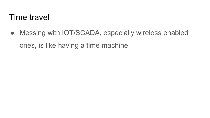#### Time travel

• Messing with IOT/SCADA, especially wireless enabled ones, is like having a time machine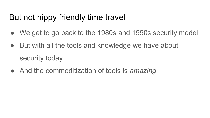# But not hippy friendly time travel

- We get to go back to the 1980s and 1990s security model
- But with all the tools and knowledge we have about security today
- And the commoditization of tools is *amazing*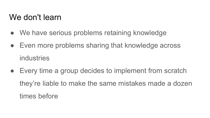### We don't learn

- We have serious problems retaining knowledge
- Even more problems sharing that knowledge across industries
- Every time a group decides to implement from scratch they're liable to make the same mistakes made a dozen times before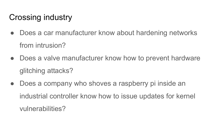# Crossing industry

- Does a car manufacturer know about hardening networks from intrusion?
- Does a valve manufacturer know how to prevent hardware glitching attacks?
- Does a company who shoves a raspberry pi inside an industrial controller know how to issue updates for kernel vulnerabilities?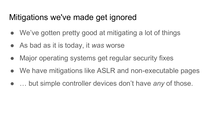# Mitigations we've made get ignored

- We've gotten pretty good at mitigating a lot of things
- As bad as it is today, it *was* worse
- Major operating systems get regular security fixes
- We have mitigations like ASLR and non-executable pages
- … but simple controller devices don't have *any* of those.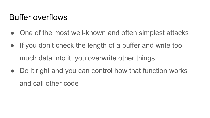# Buffer overflows

- One of the most well-known and often simplest attacks
- If you don't check the length of a buffer and write too much data into it, you overwrite other things
- Do it right and you can control how that function works and call other code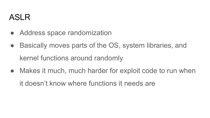### ASLR

- Address space randomization
- Basically moves parts of the OS, system libraries, and kernel functions around randomly
- Makes it much, much harder for exploit code to run when it doesn't know where functions it needs are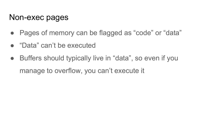#### Non-exec pages

- Pages of memory can be flagged as "code" or "data"
- "Data" can't be executed
- Buffers should typically live in "data", so even if you manage to overflow, you can't execute it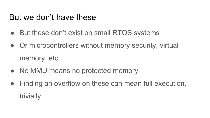#### But we don't have these

- But these don't exist on small RTOS systems
- Or microcontrollers without memory security, virtual memory, etc
- No MMU means no protected memory
- Finding an overflow on these can mean full execution, trivially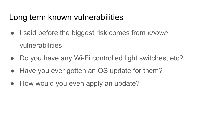### Long term known vulnerabilities

- I said before the biggest risk comes from *known* vulnerabilities
- Do you have any Wi-Fi controlled light switches, etc?
- Have you ever gotten an OS update for them?
- How would you even apply an update?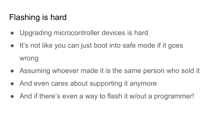## Flashing is hard

- Upgrading microcontroller devices is hard
- It's not like you can just boot into safe mode if it goes wrong
- Assuming whoever made it is the same person who sold it
- And even cares about supporting it anymore
- And if there's even a way to flash it w/out a programmer!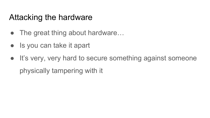## Attacking the hardware

- The great thing about hardware...
- Is you can take it apart
- It's very, very hard to secure something against someone physically tampering with it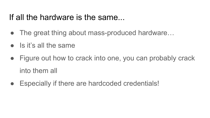#### If all the hardware is the same...

- The great thing about mass-produced hardware...
- Is it's all the same
- Figure out how to crack into one, you can probably crack into them all
- Especially if there are hardcoded credentials!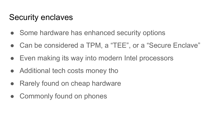## Security enclaves

- Some hardware has enhanced security options
- Can be considered a TPM, a "TEE", or a "Secure Enclave"
- Even making its way into modern Intel processors
- Additional tech costs money tho
- Rarely found on cheap hardware
- Commonly found on phones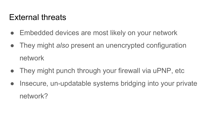#### External threats

- Embedded devices are most likely on your network
- They might *also* present an unencrypted configuration network
- They might punch through your firewall via uPNP, etc
- Insecure, un-updatable systems bridging into your private network?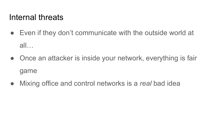#### Internal threats

- Even if they don't communicate with the outside world at all…
- Once an attacker is inside your network, everything is fair game
- Mixing office and control networks is a *real* bad idea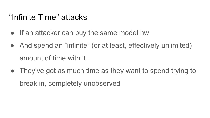#### "Infinite Time" attacks

- If an attacker can buy the same model hw
- And spend an "infinite" (or at least, effectively unlimited) amount of time with it…
- They've got as much time as they want to spend trying to break in, completely unobserved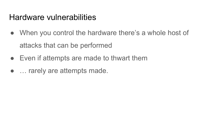#### Hardware vulnerabilities

- When you control the hardware there's a whole host of attacks that can be performed
- Even if attempts are made to thwart them
- ... rarely are attempts made.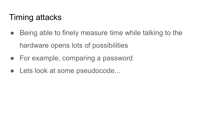## Timing attacks

- Being able to finely measure time while talking to the hardware opens lots of possibilities
- For example, comparing a password
- Lets look at some pseudocode...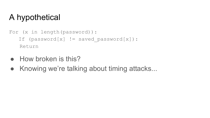## A hypothetical

```
For (x in length(password)):
If (password[x] != saved password[x]):
Return
```
- How broken is this?
- Knowing we're talking about timing attacks...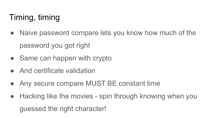# Timing, timing

- Naive password compare lets you know how much of the password you got right
- Same can happen with crypto
- And certificate validation
- Any secure compare MUST BE constant time
- Hacking like the movies spin through knowing when you guessed the right character!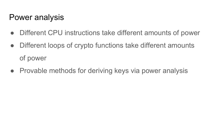#### Power analysis

- Different CPU instructions take different amounts of power
- Different loops of crypto functions take different amounts of power
- Provable methods for deriving keys via power analysis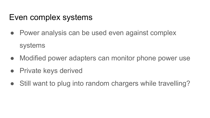#### Even complex systems

- Power analysis can be used even against complex systems
- Modified power adapters can monitor phone power use
- Private keys derived
- Still want to plug into random chargers while travelling?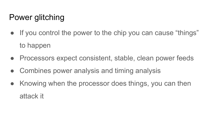## Power glitching

- If you control the power to the chip you can cause "things" to happen
- Processors expect consistent, stable, clean power feeds
- Combines power analysis and timing analysis
- Knowing when the processor does things, you can then attack it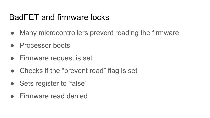## BadFET and firmware locks

- Many microcontrollers prevent reading the firmware
- Processor boots
- Firmware request is set
- Checks if the "prevent read" flag is set
- Sets register to 'false'
- Firmware read denied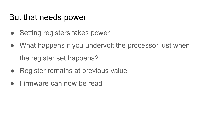#### But that needs power

- Setting registers takes power
- What happens if you undervolt the processor just when the register set happens?
- Register remains at previous value
- Firmware can now be read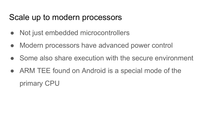### Scale up to modern processors

- Not just embedded microcontrollers
- Modern processors have advanced power control
- Some also share execution with the secure environment
- ARM TEE found on Android is a special mode of the primary CPU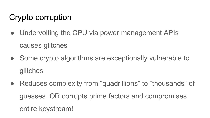## Crypto corruption

- Undervolting the CPU via power management APIs causes glitches
- Some crypto algorithms are exceptionally vulnerable to glitches
- Reduces complexity from "quadrillions" to "thousands" of guesses, OR corrupts prime factors and compromises entire keystream!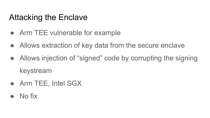## Attacking the Enclave

- Arm TEE vulnerable for example
- Allows extraction of key data from the secure enclave
- Allows injection of "signed" code by corrupting the signing keystream
- Arm TEE, Intel SGX
- No fix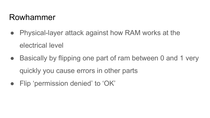#### Rowhammer

- Physical-layer attack against how RAM works at the electrical level
- Basically by flipping one part of ram between 0 and 1 very quickly you cause errors in other parts
- Flip 'permission denied' to 'OK'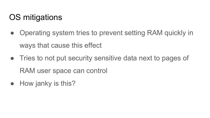## OS mitigations

- Operating system tries to prevent setting RAM quickly in ways that cause this effect
- Tries to not put security sensitive data next to pages of RAM user space can control
- How janky is this?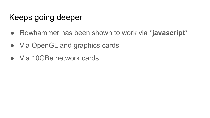## Keeps going deeper

- Rowhammer has been shown to work via \***javascript**\*
- Via OpenGL and graphics cards
- Via 10GBe network cards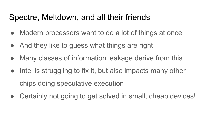## Spectre, Meltdown, and all their friends

- Modern processors want to do a lot of things at once
- And they like to guess what things are right
- Many classes of information leakage derive from this
- Intel is struggling to fix it, but also impacts many other chips doing speculative execution
- Certainly not going to get solved in small, cheap devices!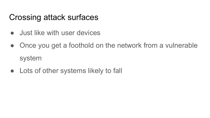## Crossing attack surfaces

- Just like with user devices
- Once you get a foothold on the network from a vulnerable system
- Lots of other systems likely to fall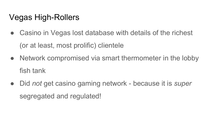## Vegas High-Rollers

- Casino in Vegas lost database with details of the richest (or at least, most prolific) clientele
- Network compromised via smart thermometer in the lobby fish tank
- Did *not* get casino gaming network because it is *super* segregated and regulated!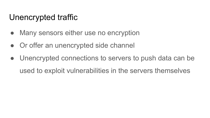## Unencrypted traffic

- Many sensors either use no encryption
- Or offer an unencrypted side channel
- Unencrypted connections to servers to push data can be used to exploit vulnerabilities in the servers themselves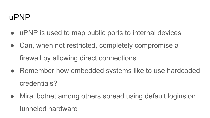#### uPNP

- uPNP is used to map public ports to internal devices
- Can, when not restricted, completely compromise a firewall by allowing direct connections
- Remember how embedded systems like to use hardcoded credentials?
- Mirai botnet among others spread using default logins on tunneled hardware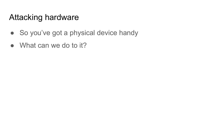### Attacking hardware

- So you've got a physical device handy
- What can we do to it?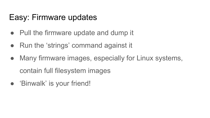## Easy: Firmware updates

- Pull the firmware update and dump it
- Run the 'strings' command against it
- Many firmware images, especially for Linux systems, contain full filesystem images
- 'Binwalk' is your friend!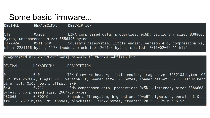#### Some basic firmware...

| DECIMAL<br>HEXADECIMAL                                  | DESCRIPTION                                                                                                                                                    |
|---------------------------------------------------------|----------------------------------------------------------------------------------------------------------------------------------------------------------------|
| 512<br>0x200<br>bytes, uncompressed size: 3556396 bytes | LZMA compressed data, properties: 0x6D, dictionary size: 8388608                                                                                               |
| 1177024<br>0x11F5C0                                     | Squashfs filesystem, little endian, version $4.0$ , compression:xz,<br>size: 2281166 bytes, 1128 inodes, blocksize: 262144 bytes, created: 2016–02–02 11:51:44 |

#### dragorn@drd1812-25:~/Downloads\$ binwalk tl-MR3020-webflash.bin

#### HEXADECIMAL DESCRIPTION DECIMAL DECIMAL

0x0 TRX firmware header, little endian, image size: 3932188 bytes, CR C32: 0xAC257ED4, flags: 0x1, version: 1, header size: 28 bytes, loader offset: 0x1C, linux kern el offset: 0x0, rootfs offset: 0x0 540 0x21C LZMA compressed data, properties: 0x5D, dictionary size: 8388608 bytes, uncompressed size: 2667760 bytes 983068 0xF001C Squashfs filesystem, big endian, DD-WRT signature, version 3.0, s ize: 2882672 bytes, 709 inodes, blocksize: 131072 bytes, created: 2013-03-25 08:35:57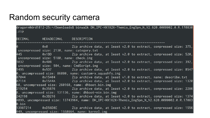#### Random security camera

dragorn@drd1812-25:~/Downloads\$ binwalk DH\_IPC-HX1X2X-Themis\_EngSpn\_N\_V2.620.0000002.0.R.170830 .zip

HEXADECIMAL DESCRIPTION DECIMAL  $0 \times 0$ Zip archive data, at least v2.0 to extract, compressed size: 375, uncompressed size: 2130, name: category.txt Zip archive data, at least v2.0 to extract, compressed size: 520, 445 0x1BD uncompressed size: 5180, name: check.img 1032 0x408 Zip archive data, at least  $v2.0$  to extract, compressed size: 392, uncompressed size: 904, name: CmdScript.img 1495  $0x5D7$ Zip archive data, at least v2.0 to extract, compressed size: 8547 0, uncompressed size: 86080, name: custom-x.squashfs.img 87044 0x15404 Zip archive data, at least v1.0 to extract, name: describe.txt 87114 0x1544A Zip archive data, at least v2.0 to extract, compressed size: 1320 68, uncompressed size: 260160, name: dhboot.bin.img 219254 0x35876 Zip archive data, at least v2.0 to extract, compressed size: 2286 8, uncompressed size: 131136, name: dhboot-min.bin.img 242198 0x3B216 Zip archive data, at least  $v2.0$  to extract, compressed size: 1374 4899, uncompressed size: 13743964, name: DH\_IPC-HX1X2X-Themis\_EngSpn\_N\_V2.620.0000002.0.R.17083| 0.bin 13987214 0xD56D8E Zip archive data, at least v2.0 to extract, compressed size: 1556 449. uncompressed size: 1558664. name: kernel.img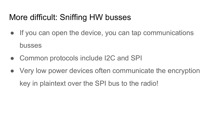## More difficult: Sniffing HW busses

- If you can open the device, you can tap communications busses
- Common protocols include I2C and SPI
- Very low power devices often communicate the encryption key in plaintext over the SPI bus to the radio!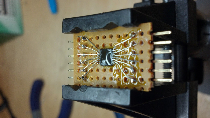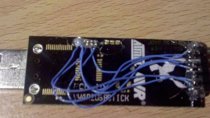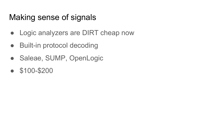## Making sense of signals

- Logic analyzers are DIRT cheap now
- Built-in protocol decoding
- Saleae, SUMP, OpenLogic
- \$100-\$200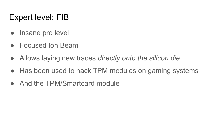## Expert level: FIB

- Insane pro level
- Focused Ion Beam
- Allows laying new traces *directly onto the silicon die*
- Has been used to hack TPM modules on gaming systems
- And the TPM/Smartcard module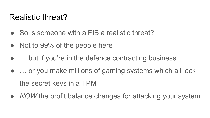#### Realistic threat?

- So is someone with a FIB a realistic threat?
- Not to 99% of the people here
- ... but if you're in the defence contracting business
- ... or you make millions of gaming systems which all lock the secret keys in a TPM
- *● NOW* the profit balance changes for attacking your system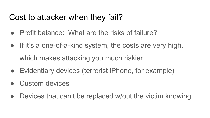### Cost to attacker when they fail?

- Profit balance: What are the risks of failure?
- If it's a one-of-a-kind system, the costs are very high, which makes attacking you much riskier
- Evidentiary devices (terrorist iPhone, for example)
- Custom devices
- Devices that can't be replaced w/out the victim knowing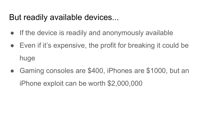#### But readily available devices...

- If the device is readily and anonymously available
- Even if it's expensive, the profit for breaking it could be huge
- Gaming consoles are \$400, iPhones are \$1000, but an iPhone exploit can be worth \$2,000,000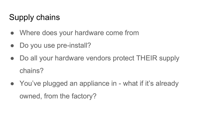# Supply chains

- Where does your hardware come from
- Do you use pre-install?
- Do all your hardware vendors protect THEIR supply chains?
- You've plugged an appliance in what if it's already owned, from the factory?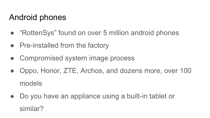### Android phones

- "RottenSys" found on over 5 million android phones
- Pre-installed from the factory
- Compromised system image process
- Oppo, Honor, ZTE, Archos, and dozens more, over 100 models
- Do you have an appliance using a built-in tablet or similar?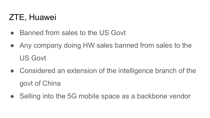## ZTE, Huawei

- Banned from sales to the US Govt
- Any company doing HW sales banned from sales to the US Govt
- Considered an extension of the intelligence branch of the govt of China
- Selling into the 5G mobile space as a backbone vendor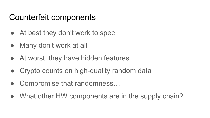## Counterfeit components

- At best they don't work to spec
- Many don't work at all
- At worst, they have hidden features
- Crypto counts on high-quality random data
- Compromise that randomness...
- What other HW components are in the supply chain?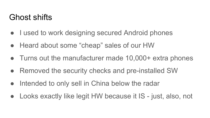#### Ghost shifts

- I used to work designing secured Android phones
- Heard about some "cheap" sales of our HW
- Turns out the manufacturer made 10,000+ extra phones
- Removed the security checks and pre-installed SW
- Intended to only sell in China below the radar
- Looks exactly like legit HW because it IS just, also, not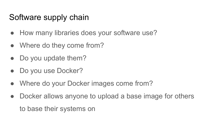## Software supply chain

- How many libraries does your software use?
- Where do they come from?
- Do you update them?
- Do you use Docker?
- Where do your Docker images come from?
- Docker allows anyone to upload a base image for others to base their systems on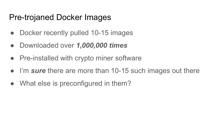### Pre-trojaned Docker Images

- Docker recently pulled 10-15 images
- Downloaded over *1,000,000 times*
- Pre-installed with crypto miner software
- I'm *sure* there are more than 10-15 such images out there
- What else is preconfigured in them?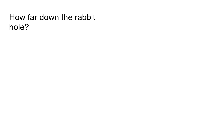### How far down the rabbit hole?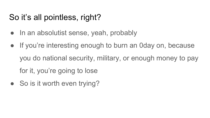## So it's all pointless, right?

- In an absolutist sense, yeah, probably
- If you're interesting enough to burn an Oday on, because you do national security, military, or enough money to pay for it, you're going to lose
- So is it worth even trying?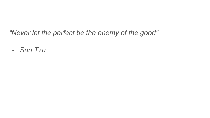*"Never let the perfect be the enemy of the good"*

*- Sun Tzu*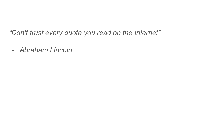*"Don't trust every quote you read on the Internet"*

*- Abraham Lincoln*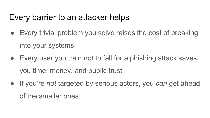### Every barrier to an attacker helps

- Every trivial problem you solve raises the cost of breaking into your systems
- Every user you train not to fall for a phishing attack saves you time, money, and public trust
- If you're *not* targeted by serious actors, you *can* get ahead of the smaller ones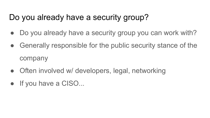## Do you already have a security group?

- Do you already have a security group you can work with?
- Generally responsible for the public security stance of the company
- Often involved w/ developers, legal, networking
- If you have a CISO...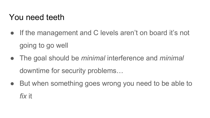## You need teeth

- If the management and C levels aren't on board it's not going to go well
- The goal should be *minimal* interference and *minimal* downtime for security problems…
- But when something goes wrong you need to be able to *fix* it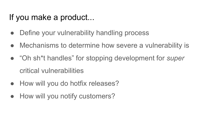## If you make a product...

- Define your vulnerability handling process
- Mechanisms to determine how severe a vulnerability is
- "Oh sh\*t handles" for stopping development for *super* critical vulnerabilities
- How will you do hotfix releases?
- How will you notify customers?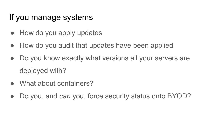# If you manage systems

- How do you apply updates
- How do you audit that updates have been applied
- Do you know exactly what versions all your servers are deployed with?
- What about containers?
- Do you, and *can* you, force security status onto BYOD?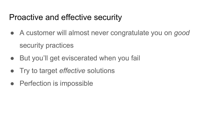### Proactive and effective security

- A customer will almost never congratulate you on *good* security practices
- But you'll get eviscerated when you fail
- Try to target *effective* solutions
- Perfection is impossible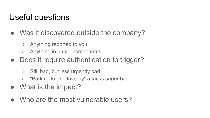## Useful questions

- Was it discovered outside the company?
	- Anything reported to you
	- Anything in public components
- Does it require authentication to trigger?
	- Still bad, but less urgently bad
	- "Parking lot" / "Drive-by" attacks *super* bad
- What is the impact?
- Who are the most vulnerable users?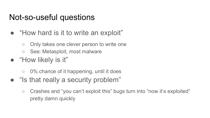### Not-so-useful questions

- "How hard is it to write an exploit"
	- Only takes one clever person to write one
	- See: Metasploit, most malware
- "How likely is it"
	- 0% chance of it happening, until it does
- "Is that really a security problem"
	- Crashes and "you can't exploit this" bugs turn into "now it's exploited" pretty damn quickly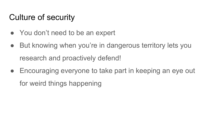## Culture of security

- You don't need to be an expert
- But knowing when you're in dangerous territory lets you research and proactively defend!
- Encouraging everyone to take part in keeping an eye out for weird things happening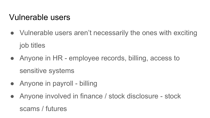### Vulnerable users

- Vulnerable users aren't necessarily the ones with exciting job titles
- Anyone in HR employee records, billing, access to sensitive systems
- Anyone in payroll billing
- Anyone involved in finance / stock disclosure stock scams / futures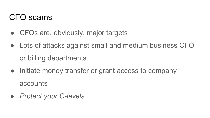### CFO scams

- CFOs are, obviously, major targets
- Lots of attacks against small and medium business CFO or billing departments
- Initiate money transfer or grant access to company accounts
- *● Protect your C-levels*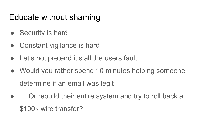## Educate without shaming

- Security is hard
- Constant vigilance is hard
- Let's not pretend it's all the users fault
- Would you rather spend 10 minutes helping someone determine if an email was legit
- ... Or rebuild their entire system and try to roll back a \$100k wire transfer?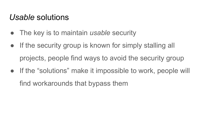#### *Usable* solutions

- The key is to maintain *usable* security
- If the security group is known for simply stalling all projects, people find ways to avoid the security group
- If the "solutions" make it impossible to work, people will find workarounds that bypass them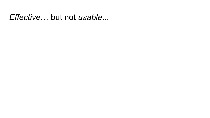#### *Effective*… but not *usable*...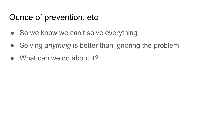## Ounce of prevention, etc

- So we know we can't solve everything
- Solving *anything* is better than ignoring the problem
- What can we do about it?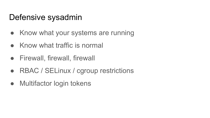## Defensive sysadmin

- Know what your systems are running
- Know what traffic is normal
- Firewall, firewall, firewall
- RBAC / SELinux / cgroup restrictions
- Multifactor login tokens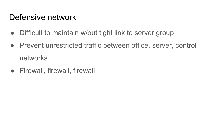## Defensive network

- Difficult to maintain w/out tight link to server group
- Prevent unrestricted traffic between office, server, control networks
- Firewall, firewall, firewall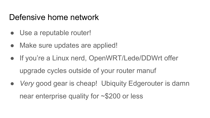### Defensive home network

- Use a reputable router!
- Make sure updates are applied!
- If you're a Linux nerd, OpenWRT/Lede/DDWrt offer upgrade cycles outside of your router manuf
- *● Very* good gear is cheap! Ubiquity Edgerouter is damn near enterprise quality for ~\$200 or less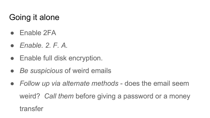## Going it alone

- Fnable 2FA
- *● Enable. 2. F. A.*
- Enable full disk encryption.
- *● Be suspicious* of weird emails
- *● Follow up via alternate methods* does the email seem weird? *Call them* before giving a password or a money transfer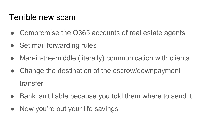### Terrible new scam

- Compromise the O365 accounts of real estate agents
- Set mail forwarding rules
- Man-in-the-middle (literally) communication with clients
- Change the destination of the escrow/downpayment transfer
- Bank isn't liable because you told them where to send it
- Now you're out your life savings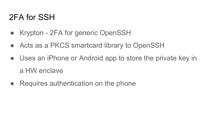#### 2FA for SSH

- Krypton 2FA for generic OpenSSH
- Acts as a PKCS smartcard library to OpenSSH
- Uses an iPhone or Android app to store the private key in a HW enclave
- Requires authentication on the phone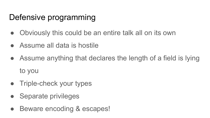## Defensive programming

- Obviously this could be an entire talk all on its own
- Assume all data is hostile
- Assume anything that declares the length of a field is lying to you
- Triple-check your types
- Separate privileges
- Beware encoding & escapes!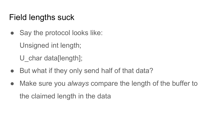# Field lengths suck

Say the protocol looks like:

Unsigned int length;

U char data[length];

- But what if they only send half of that data?
- Make sure you *always* compare the length of the buffer to the claimed length in the data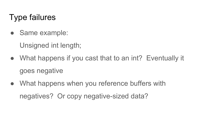# Type failures

• Same example:

Unsigned int length;

- What happens if you cast that to an int? Eventually it goes negative
- What happens when you reference buffers with negatives? Or copy negative-sized data?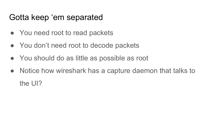#### Gotta keep 'em separated

- You need root to read packets
- You don't need root to decode packets
- You should do as little as possible as root
- Notice how wireshark has a capture daemon that talks to the UI?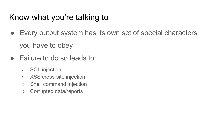# Know what you're talking to

- Every output system has its own set of special characters you have to obey
- Failure to do so leads to:
	- SQL injection
	- XSS cross-site injection
	- Shell command injection
	- Corrupted data/reports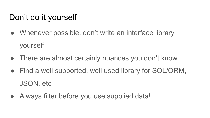# Don't do it yourself

- Whenever possible, don't write an interface library yourself
- There are almost certainly nuances you don't know
- Find a well supported, well used library for SQL/ORM, JSON, etc
- Always filter before you use supplied data!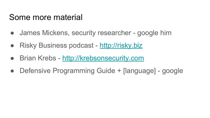#### Some more material

- James Mickens, security researcher google him
- Risky Business podcast <http://risky.biz>
- Brian Krebs <http://krebsonsecurity.com>
- Defensive Programming Guide + [language] google